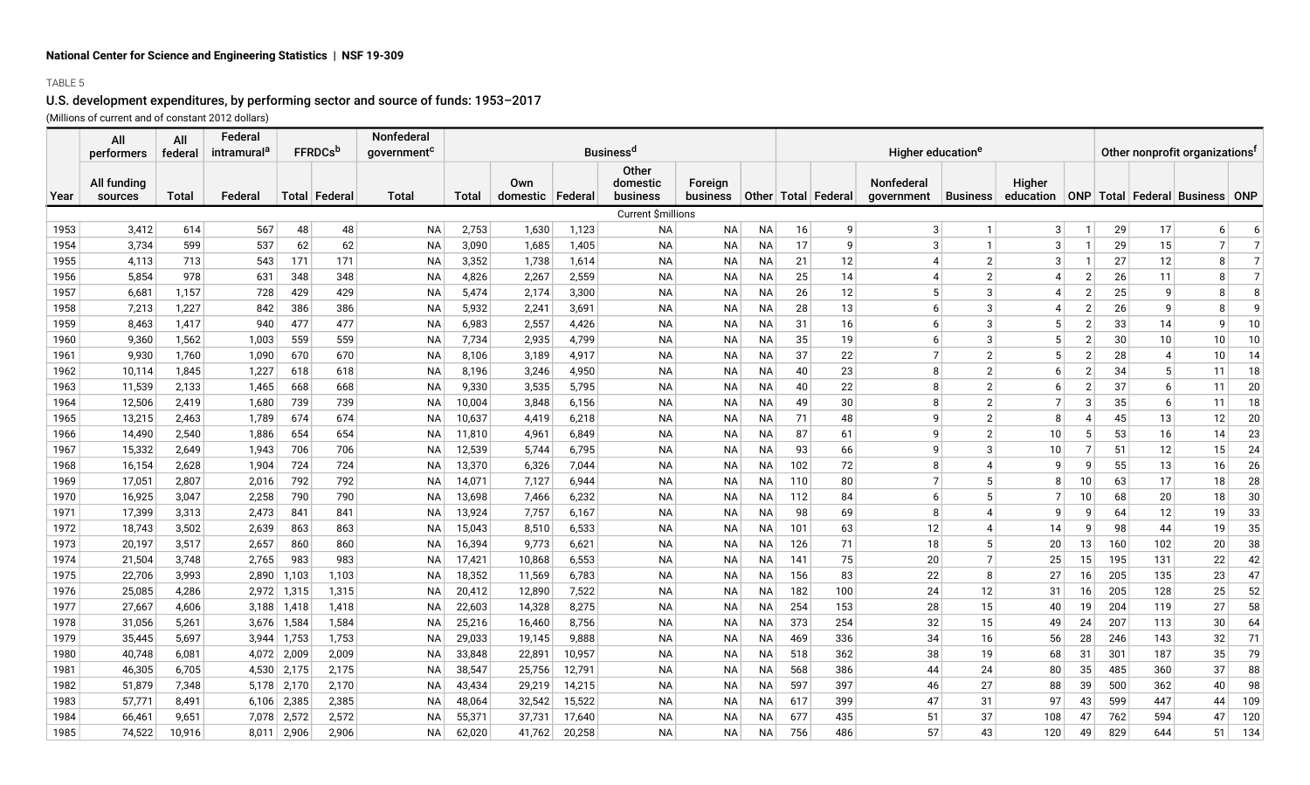## TABLE 5

## U.S. development expenditures, by performing sector and source of funds: 1953–2017 (Millions of current and of constant 2012 dollars)

|      | All                    | All     | Federal                 |       |                 | <b>Nonfederal</b>       |        |                           |        |                                      |                     |           |     |                         |                                 |                 |                     |                |                                            |     |                                        |                |  |
|------|------------------------|---------|-------------------------|-------|-----------------|-------------------------|--------|---------------------------|--------|--------------------------------------|---------------------|-----------|-----|-------------------------|---------------------------------|-----------------|---------------------|----------------|--------------------------------------------|-----|----------------------------------------|----------------|--|
|      | performers             | federal | intramural <sup>a</sup> |       | <b>FFRDCs</b> b | government <sup>c</sup> |        |                           |        | <b>Business<sup>d</sup></b>          |                     |           |     |                         | Higher education <sup>e</sup>   |                 |                     |                | Other nonprofit organizations <sup>t</sup> |     |                                        |                |  |
| Year | All funding<br>sources | Total   | Federa                  |       | Total   Federal | Total                   | Total  | Own<br>domestic   Federal |        | <b>Other</b><br>domestic<br>business | Foreign<br>business |           |     | Other   Total   Federal | <b>Nonfederal</b><br>government | <b>Business</b> | Higher<br>education |                |                                            |     | ONP   Total   Federal   Business   ONP |                |  |
|      |                        |         |                         |       |                 |                         |        |                           |        | Current \$millions                   |                     |           |     |                         |                                 |                 |                     |                |                                            |     |                                        |                |  |
| 1953 | 3,412                  | 614     | 567                     | 48    | 48              | <b>NA</b>               | 2,753  | 1,630                     | 1,123  | <b>NA</b>                            | <b>NA</b>           | <b>NA</b> | 16  | 9                       | 3                               | $\mathbf{1}$    | 3                   | $\mathbf 1$    | 29                                         | 17  | 6                                      | 6              |  |
| 1954 | 3,734                  | 599     | 537                     | 62    | 62              | <b>NA</b>               | 3,090  | 1,685                     | 1,405  | <b>NA</b>                            | <b>NA</b>           | ΝA        | 17  | 9                       | 3                               | $\mathbf{1}$    | 3                   | $\mathbf{1}$   | 29                                         | 15  | 7                                      | $\overline{7}$ |  |
| 1955 | 4,113                  | 713     | 543                     | 171   | 171             | <b>NA</b>               | 3,352  | 1,738                     | 1,614  | <b>NA</b>                            | ΝA                  | ΝA        | 21  | 12                      | $\overline{4}$                  | $\overline{2}$  | 3                   | $\mathbf 1$    | 27                                         | 12  | 8                                      | $\overline{7}$ |  |
| 1956 | 5,854                  | 978     | 631                     | 348   | 348             | <b>NA</b>               | 4,826  | 2,267                     | 2,559  | <b>NA</b>                            | ΝA                  | NА        | 25  | 14                      | 4                               | $\overline{2}$  | 4                   | $\overline{2}$ | 26                                         | 11  | 8                                      | $\overline{7}$ |  |
| 1957 | 6,681                  | 1,157   | 728                     | 429   | 429             | <b>NA</b>               | 5,474  | 2,174                     | 3,300  | <b>NA</b>                            | ΝA                  | NА        | 26  | 12                      | 5                               | 3               | 4                   | $\overline{2}$ | 25                                         | 9   | 8                                      | 8              |  |
| 1958 | 7,213                  | 1,227   | 842                     | 386   | 386             | <b>NA</b>               | 5,932  | 2,241                     | 3,691  | <b>NA</b>                            | ΝA                  | ΝA        | 28  | 13                      | 6                               | 3               | 4                   | $\overline{2}$ | 26                                         | 9   | 8                                      | 9              |  |
| 1959 | 8,463                  | 1,417   | 940                     | 477   | 477             | <b>NA</b>               | 6,983  | 2,557                     | 4,426  | <b>NA</b>                            | <b>NA</b>           | NA        | 31  | 16                      | 6                               | 3               | 5                   | $\overline{2}$ | 33                                         | 14  | 9                                      | 10             |  |
| 1960 | 9,360                  | 1,562   | 1,003                   | 559   | 559             | NA                      | 7,734  | 2,935                     | 4,799  | <b>NA</b>                            | NA                  | NA        | 35  | 19                      | 6                               | 3 <sup>2</sup>  | 5                   | 2              | 30                                         | 10  | 10                                     | 10             |  |
| 1961 | 9,930                  | 1,760   | 1,090                   | 670   | 670             | NA                      | 8,106  | 3,189                     | 4,917  | <b>NA</b>                            | ΝA                  | NA        | 37  | 22                      | $\overline{7}$                  | 2 <sup>2</sup>  | 5                   | $\overline{2}$ | 28                                         | 4   | 10 <sup>1</sup>                        | 14             |  |
| 1962 | 10,114                 | 1,845   | 1,227                   | 618   | 618             | NA                      | 8,196  | 3,246                     | 4,950  | NA                                   | ΝA                  | ΝA        | 40  | 23                      | 8                               | $\overline{2}$  | $6 \mid$            | $\overline{2}$ | 34                                         | 5   | 11                                     | 18             |  |
| 1963 | 11,539                 | 2,133   | 1,465                   | 668   | 668             | <b>NA</b>               | 9,330  | 3,535                     | 5,795  | NA                                   | ΝA                  | ΝA        | 40  | 22                      | 8                               | $\overline{2}$  | $6 \mid$            | $\overline{2}$ | 37                                         | 6   | 11                                     | 20             |  |
| 1964 | 12,506                 | 2,419   | 1,680                   | 739   | 739             | <b>NA</b>               | 10,004 | 3,848                     | 6,156  | <b>NA</b>                            | ΝA                  | ΝA        | 49  | 30                      | 8                               | $\overline{2}$  | $\overline{7}$      | 3              | 35                                         | 6   | 11                                     | 18             |  |
| 1965 | 13,215                 | 2,463   | 1,789                   | 674   | 674             | <b>NA</b>               | 10,637 | 4,419                     | 6,218  | <b>NA</b>                            | <b>NA</b>           | ΝA        | 71  | 48                      | q                               | $\overline{2}$  | 8                   | 4              | 45                                         | 13  | 12                                     | 20             |  |
| 1966 | 14,490                 | 2,540   | 1,886                   | 654   | 654             | <b>NA</b>               | 11,810 | 4,961                     | 6,849  | <b>NA</b>                            | <b>NA</b>           | NА        | 87  | 61                      | q                               | $\overline{2}$  | 10                  | 5              | 53                                         | 16  | 14                                     | 23             |  |
| 1967 | 15,332                 | 2,649   | 1,943                   | 706   | 706             | <b>NA</b>               | 12,539 | 5,744                     | 6,795  | <b>NA</b>                            | NA                  | NA        | 93  | 66                      | q                               | 3               | 10                  | $\overline{7}$ | 51                                         | 12  | 15                                     | 24             |  |
| 1968 | 16,154                 | 2,628   | 1,904                   | 724   | 724             | NA                      | 13,370 | 6,326                     | 7,044  | <b>NA</b>                            | NA                  | NА        | 102 | 72                      | 8                               | 4               | -9                  | 9              | 55                                         | 13  | 16                                     | 26             |  |
| 1969 | 17,051                 | 2,807   | 2,016                   | 792   | 792             | NA                      | 14,071 | 7,127                     | 6,944  | <b>NA</b>                            | NA                  | NА        | 110 | 80                      |                                 | 5               | 8                   | 10             | 63                                         | 17  | 18                                     | 28             |  |
| 1970 | 16,925                 | 3,047   | 2,258                   | 790   | 790             | <b>NA</b>               | 13,698 | 7,466                     | 6,232  | <b>NA</b>                            | ΝA                  | NА        | 112 | 84                      | 6                               | 5 <sup>2</sup>  | $\overline{7}$      | 10             | 68                                         | 20  | 18                                     | 30             |  |
| 1971 | 17,399                 | 3,313   | 2,473                   | 841   | 841             | <b>NA</b>               | 13,924 | 7,757                     | 6,167  | <b>NA</b>                            | NA                  | NА        | 98  | 69                      | 8                               | 4               | 9                   | 9              | 64                                         | 12  | 19                                     | 33             |  |
| 1972 | 18,743                 | 3,502   | 2,639                   | 863   | 863             | NA                      | 15,043 | 8,510                     | 6,533  | <b>NA</b>                            | NA                  | NА        | 101 | 63                      | 12                              | 4               | 14                  | g              | 98                                         | 44  | 19                                     | 35             |  |
| 1973 | 20,197                 | 3,517   | 2,657                   | 860   | 860             | NA                      | 16,394 | 9,773                     | 6,621  | <b>NA</b>                            | ΝA                  | ΝA        | 126 | 71                      | 18                              | 5 <sup>1</sup>  | 20                  | 13             | 160                                        | 102 | 20                                     | 38             |  |
| 1974 | 21,504                 | 3,748   | 2,765                   | 983   | 983             | <b>NA</b>               | 17,421 | 10,868                    | 6,553  | <b>NA</b>                            | ΝA                  | NА        | 141 | 75                      | 20                              | $\overline{7}$  | 25                  | 15             | 195                                        | 131 | 22                                     | 42             |  |
| 1975 | 22,706                 | 3,993   | 2,890                   | 1,103 | 1,103           | <b>NA</b>               | 18,352 | 11,569                    | 6,783  | <b>NA</b>                            | ΝA                  | NА        | 156 | 83                      | 22                              | 8               | 27                  | 16             | 205                                        | 135 | 23                                     | 47             |  |
| 1976 | 25,085                 | 4,286   | 2,972                   | 1,315 | 1,315           | <b>NA</b>               | 20,412 | 12,890                    | 7,522  | <b>NA</b>                            | ΝA                  | ΝA        | 182 | 100                     | 24                              | 12              | 31                  | 16             | 205                                        | 128 | 25                                     | 52             |  |
| 1977 | 27,667                 | 4,606   | 3,188                   | 1,418 | 1,418           | <b>NA</b>               | 22,603 | 14,328                    | 8,275  | <b>NA</b>                            | ΝA                  | NA        | 254 | 153                     | 28                              | 15              | 40                  | 19             | 204                                        | 119 | 27                                     | 58             |  |
| 1978 | 31,056                 | 5,261   | 3,676                   | 1,584 | 1,584           | <b>NA</b>               | 25,216 | 16,460                    | 8,756  | <b>NA</b>                            | ΝA                  | NA.       | 373 | 254                     | 32                              | 15              | 49                  | 24             | 207                                        | 113 | 30                                     | 64             |  |
| 1979 | 35,445                 | 5,697   | 3,944                   | 1,753 | 1,753           | <b>NA</b>               | 29,033 | 19,145                    | 9,888  | <b>NA</b>                            | NA                  | NA        | 469 | 336                     | 34                              | 16              | 56                  | 28             | 246                                        | 143 | 32                                     | 71             |  |
| 1980 | 40,748                 | 6,081   | 4,072                   | 2,009 | 2,009           | NA                      | 33,848 | 22,891                    | 10,957 | <b>NA</b>                            | NA                  | NA        | 518 | 362                     | 38                              | 19              | 68                  | 31             | 301                                        | 187 | 35                                     | 79             |  |
| 1981 | 46,305                 | 6,705   | 4,530                   | 2,175 | 2,175           | NA                      | 38,547 | 25,756                    | 12,791 | <b>NA</b>                            | ΝA                  | NA        | 568 | 386                     | 44                              | 24              | 80                  | 35             | 485                                        | 360 | 37                                     | 88             |  |
| 1982 | 51,879                 | 7,348   | 5,178                   | 2,170 | 2,170           | NA                      | 43,434 | 29,219                    | 14,215 | <b>NA</b>                            | ΝA                  | NA        | 597 | 397                     | 46                              | 27              | 88                  | 39             | 500                                        | 362 | 40                                     | 98             |  |
| 1983 | 57,771                 | 8,491   | 6,106                   | 2,385 | 2,385           | <b>NA</b>               | 48,064 | 32,542                    | 15,522 | <b>NA</b>                            | ΝA                  | NA        | 617 | 399                     | 47                              | 31              | 97                  | 43             | 599                                        | 447 | 44                                     | 109            |  |
| 1984 | 66,461                 | 9,651   | 7,078                   | 2,572 | 2,572           | <b>NA</b>               | 55,371 | 37,731                    | 17,640 | <b>NA</b>                            | <b>NA</b>           | <b>NA</b> | 677 | 435                     | 51                              | 37              | 108                 | 47             | 762                                        | 594 | 47                                     | 120            |  |
| 1985 | 74,522                 | 10,916  | 8,011                   | 2.906 | 2,906           | <b>NA</b>               | 62,020 | 41,762                    | 20,258 | <b>NA</b>                            | <b>NA</b>           | <b>NA</b> | 756 | 486                     | 57                              | 43              | 120                 | 49             | 829                                        | 644 | 51                                     | 134            |  |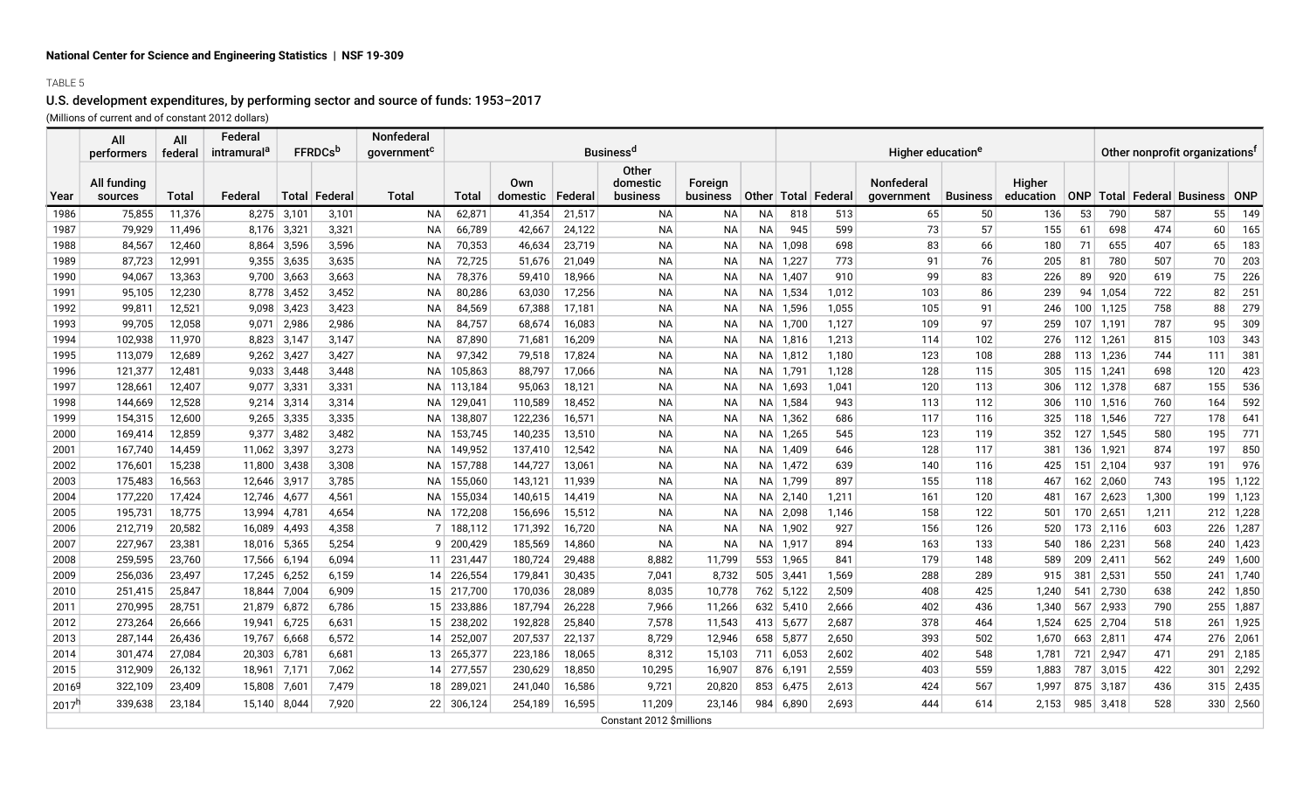### TABLE 5

## U.S. development expenditures, by performing sector and source of funds: 1953–2017

(Millions of current and of constant 2012 dollars)

|                   | All<br>performers      | All<br>federal | Federal<br>intramural <sup>c</sup> | <b>FFRDCs</b> <sup>p</sup> |                      | Nonfederal<br>qovernment <sup>c</sup> |              |                 |         | <b>Business<sup>d</sup></b>    |                            |      |            |                         | Higher education <sup>e</sup> |                 | Other nonprofit organizations <sup>1</sup> |              |           |       |                                        |             |
|-------------------|------------------------|----------------|------------------------------------|----------------------------|----------------------|---------------------------------------|--------------|-----------------|---------|--------------------------------|----------------------------|------|------------|-------------------------|-------------------------------|-----------------|--------------------------------------------|--------------|-----------|-------|----------------------------------------|-------------|
| Year              | All funding<br>sources | Total          | Federal                            |                            | <b>Total Federal</b> | <b>Total</b>                          | <b>Total</b> | Own<br>domestic | Federal | Other<br>domestic<br>business  | <b>Foreian</b><br>business |      |            | Other   Total   Federal | Nonfederal<br>government      | <b>Business</b> | Higher<br>education                        |              |           |       | ONP   Total   Federal   Business   ONP |             |
| 1986              | 75,855                 | 11,376         | 8,275                              | 3,101                      | 3,101                | <b>NA</b>                             | 62,871       | 41,354          | 21,517  | <b>NA</b>                      | <b>NA</b>                  | NA   | 818        | 513                     | 65                            | 50              | 136                                        | 53           | 790       | 587   | 55                                     | 149         |
| 1987              | 79,929                 | 11,496         | 8.176                              | $3,32^{\circ}$             | 3,321                | <b>NA</b>                             | 66,789       | 42,667          | 24,122  | <b>NA</b>                      | <b>NA</b>                  | NA.  | 945        | 599                     | 73                            | 57              | 155                                        | 61           | 698       | 474   | 60                                     | 165         |
| 1988              | 84,567                 | 12,460         | 8,864                              | 3,596                      | 3,596                | <b>NA</b>                             | 70,353       | 46,634          | 23,719  | <b>NA</b>                      | <b>NA</b>                  | NA I | 1,098      | 698                     | 83                            | 66              | 180                                        | 71           | 655       | 407   | 65                                     | 183         |
| 1989              | 87,723                 | 12,991         | 9,355                              | 3,635                      | 3,635                | <b>NA</b>                             | 72,725       | 51,676          | 21,049  | <b>NA</b>                      | <b>NA</b>                  |      | NA 1,227   | 773                     | 91                            | 76              | 205                                        | 81           | 780       | 507   | 70                                     | 203         |
| 1990              | 94,067                 | 13,363         | 9,700                              | 3,663                      | 3,663                | <b>NA</b>                             | 78,376       | 59,410          | 18,966  | <b>NA</b>                      | <b>NA</b>                  |      | NA 1,407   | 910                     | 99                            | 83              | 226                                        | 89           | 920       | 619   | 75                                     | 226         |
| 1991              | 95,105                 | 12,230         | 8,778                              | 3,452                      | 3,452                | <b>NA</b>                             | 80,286       | 63,030          | 17,256  | <b>NA</b>                      | <b>NA</b>                  |      | $NA$ 1,534 | 1,012                   | 103                           | 86              | 239                                        | 94           | 1,054     | 722   | 82                                     | 251         |
| 1992              | 99,811                 | 12,521         | 9,098                              | 3,423                      | 3,423                | NA                                    | 84,569       | 67,388          | 17,181  | <b>NA</b>                      | <b>NA</b>                  |      | NA 1,596   | 1,055                   | 105                           | 91              | 246                                        | 100          | 1,125     | 758   | 88                                     | 279         |
| 1993              | 99,705                 | 12,058         | 9,071                              | 2,986                      | 2,986                | <b>NA</b>                             | 84,757       | 68,674          | 16,083  | <b>NA</b>                      | <b>NA</b>                  |      | NA 1,700   | 1,127                   | 109                           | 97              | 259                                        | 107          | 1,191     | 787   | 95                                     | 309         |
| 1994              | 102,938                | 11,970         | 8,823                              | 3,147                      | 3,147                | <b>NA</b>                             | 87,890       | 71,681          | 16,209  | <b>NA</b>                      | <b>NA</b>                  |      | NA 1,816   | 1,213                   | 114                           | 102             | 276                                        | 112          | 1,261     | 815   | 103                                    | 343         |
| 1995              | 113,079                | 12,689         | 9,262                              | 3,427                      | 3,427                | <b>NA</b>                             | 97,342       | 79,518          | 17,824  | <b>NA</b>                      | <b>NA</b>                  |      | NA 1,812   | 1,180                   | 123                           | 108             | 288                                        | 113          | 1,236     | 744   | 111                                    | 381         |
| 1996              | 121,377                | 12,481         | 9,033                              | 3,448                      | 3,448                | <b>NA</b>                             | 105,863      | 88,797          | 17,066  | <b>NA</b>                      | <b>NA</b>                  | NA   | 1,791      | 1,128                   | 128                           | 115             | 305                                        | 115          | 1,241     | 698   | 120                                    | 423         |
| 1997              | 128,661                | 12,407         | 9,077                              | 3,331                      | 3,331                | <b>NA</b>                             | 113,184      | 95,063          | 18,121  | <b>NA</b>                      | <b>NA</b>                  |      | NA 1,693   | 1,041                   | 120                           | 113             | 306                                        | 112          | 1,378     | 687   | 155                                    | 536         |
| 1998              | 144,669                | 12,528         | 9,214                              | 3,314                      | 3,314                | ΝA                                    | 129,041      | 110,589         | 18,452  | <b>NA</b>                      | NA                         |      | NA 1,584   | 943                     | 113                           | 112             | 306                                        | 110          | 1,516     | 760   | 164                                    | 592         |
| 1999              | 154,315                | 12,600         | 9,265                              | 3,335                      | 3,335                | ΝA                                    | 138,807      | 122,236         | 16,571  | <b>NA</b>                      | NА                         | NA   | 1,362      | 686                     | 117                           | 116             | 325                                        | 118          | 1,546     | 727   | 178                                    | 641         |
| 2000              | 169,414                | 12,859         | 9,377                              | 3,482                      | 3,482                | ΝA                                    | 153,745      | 140,235         | 13,510  | ΝA                             | NА                         |      | NA 1,265   | 545                     | 123                           | 119             | 352                                        | 127          | 1,545     | 580   | 195                                    | 771         |
| 2001              | 167,740                | 14,459         | 11,062                             | 3,397                      | 3,273                | ΝA                                    | 149,952      | 137,410         | 12,542  | <b>NA</b>                      | NА                         |      | NA 1,409   | 646                     | 128                           | 117             | 381                                        | 136          | 1,921     | 874   | 197                                    | 850         |
| 2002              | 176,601                | 15,238         | 11,800                             | 3,438                      | 3,308                | NA.                                   | 157,788      | 144,727         | 13,061  | <b>NA</b>                      | NА                         |      | NA 1,472   | 639                     | 140                           | 116             | 425                                        | 151          | 2,104     | 937   | 191                                    | 976         |
| 2003              | 175,483                | 16,563         | 12,646                             | 3,917                      | 3,785                | NA.                                   | 155,060      | 143,121         | 11,939  | <b>NA</b>                      | NА                         |      | NA 1,799   | 897                     | 155                           | 118             | 467                                        | 162          | 2,060     | 743   | 195                                    | 1,122       |
| 2004              | 177,220                | 17,424         | 12,746                             | 4,677                      | 4,561                | <b>NA</b>                             | 155,034      | 140,615         | 14,419  | <b>NA</b>                      | NА                         |      | NA 2,140   | 1,211                   | 161                           | 120             | 481                                        | 167          | 2,623     | 1,300 | 199                                    | 1,123       |
| 2005              | 195,731                | 18,775         | 13,994                             | 4,781                      | 4,654                | <b>NA</b>                             | 172,208      | 156,696         | 15,512  | <b>NA</b>                      | <b>NA</b>                  |      | NA 2,098   | 1,146                   | 158                           | 122             | 501                                        | 170          | 2,651     | 1,211 |                                        | $212$ 1,228 |
| 2006              | 212,719                | 20,582         | 16,089                             | 4,493                      | 4,358                | 7 <sup>1</sup>                        | 188,112      | 171,392         | 16,720  | <b>NA</b>                      | NА                         |      | NA 1,902   | 927                     | 156                           | 126             | 520                                        | 173          | 2,116     | 603   | 226                                    | 1,287       |
| 2007              | 227,967                | 23,381         | 18,016                             | 5,365                      | 5,254                | 9                                     | 200,429      | 185,569         | 14,860  | <b>NA</b>                      | <b>NA</b>                  | NA   | 1,917      | 894                     | 163                           | 133             | 540                                        | 186          | 2,231     | 568   | 240                                    | 1,423       |
| 2008              | 259,595                | 23,760         | 17,566                             | 6,194                      | 6,094                | 11 <sup>1</sup>                       | 231,447      | 180,724         | 29,488  | 8,882                          | 11,799                     | 553  | 1,965      | 841                     | 179                           | 148             | 589                                        | 209          | 2,411     | 562   | 249                                    | 1,600       |
| 2009              | 256,036                | 23,497         | 17,245                             | 6,252                      | 6,159                | 14                                    | 226,554      | 179,841         | 30,435  | 7,041                          | 8,732                      |      | 505 3,441  | 1,569                   | 288                           | 289             | 915                                        | 381          | 2,531     | 550   | 241                                    | 1,740       |
| 2010              | 251,415                | 25,847         | 18,844                             | 7,004                      | 6,909                | 15 <sup>2</sup>                       | 217,700      | 170,036         | 28,089  | 8,035                          | 10,778                     |      | 762 5,122  | 2,509                   | 408                           | 425             | 1,240                                      | $54^{\circ}$ | 2,730     | 638   | 242                                    | 1,850       |
| 2011              | 270,995                | 28,751         | 21,879                             | 6,872                      | 6,786                | 15 <sup>1</sup>                       | 233,886      | 187,794         | 26,228  | 7,966                          | 11,266                     |      | 632 5,410  | 2,666                   | 402                           | 436             | 1,340                                      | 567          | 2,933     | 790   | 255                                    | 1,887       |
| 2012              | 273,264                | 26,666         | 19,941                             | 6,725                      | 6,631                | 15 <sup>1</sup>                       | 238,202      | 192,828         | 25,840  | 7,578                          | 11,543                     |      | 413 5,677  | 2,687                   | 378                           | 464             | 1,524                                      | 625          | 2,704     | 518   | 261                                    | 1,925       |
| 2013              | 287,144                | 26,436         | 19,767                             | 6,668                      | 6,572                | 14                                    | 252,007      | 207,537         | 22,137  | 8,729                          | 12,946                     |      | 658 5,877  | 2,650                   | 393                           | 502             | 1,670                                      | 663          | 2,811     | 474   | 276                                    | 2,061       |
| 2014              | 301,474                | 27,084         | 20,303                             | 6,78                       | 6,681                | 13                                    | 265,377      | 223,186         | 18,065  | 8,312                          | 15,103                     | 711  | 6,053      | 2,602                   | 402                           | 548             | 1,781                                      | 721          | 2,947     | 471   | 291                                    | 2,185       |
| 2015              | 312,909                | 26,132         | 18,961                             | 7,171                      | 7,062                | 14 <sup>1</sup>                       | 277,557      | 230,629         | 18,850  | 10,295                         | 16,907                     |      | 876 6,191  | 2,559                   | 403                           | 559             | 1,883                                      | 787          | 3,015     | 422   | 301                                    | 2,292       |
| 2016 <sup>g</sup> | 322,109                | 23,409         | 15,808                             | 7,601                      | 7,479                | 18 <sup>1</sup>                       | 289,021      | 241,040         | 16,586  | 9,721                          | 20,820                     |      | 853 6,475  | 2,613                   | 424                           | 567             | 1,997                                      |              | 875 3,187 | 436   | 315                                    | 2,435       |
| 2017 <sup>5</sup> | 339.638                | 23,184         | 15.140                             | 8,044                      | 7,920                |                                       | 22 306,124   | 254,189         | 16,595  | 11,209                         | 23,146                     | 984  | 6,890      | 2,693                   | 444                           | 614             | 2.153                                      | 985          | 3,418     | 528   | 330 <sub>1</sub>                       | 2,560       |
|                   |                        |                |                                    |                            |                      |                                       |              |                 |         | <b>Constant 2012 Smillions</b> |                            |      |            |                         |                               |                 |                                            |              |           |       |                                        |             |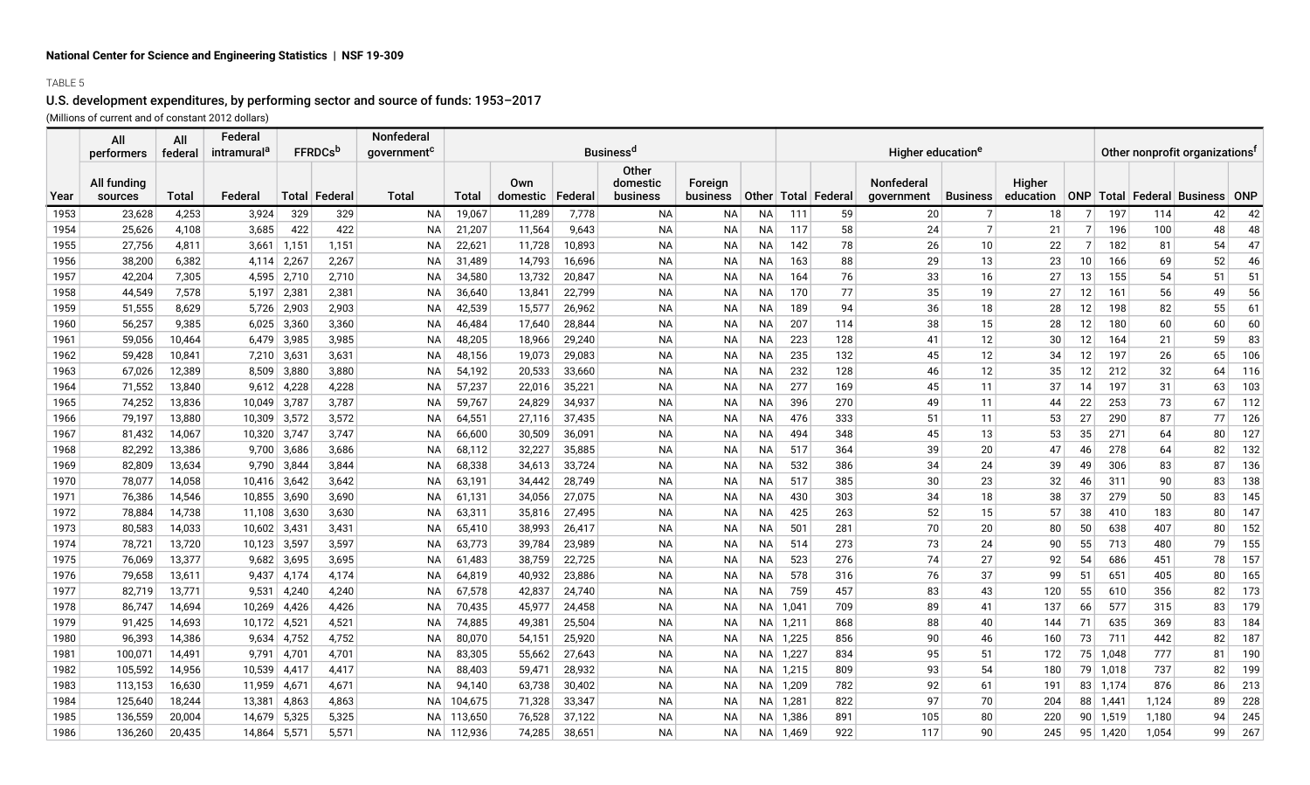### TABLE 5

# U.S. development expenditures, by performing sector and source of funds: 1953–2017

(Millions of current and of constant 2012 dollars)

|      | All                    | All     | Federal                 |                |                            | Nonfederal              | <b>Business<sup>d</sup></b> |                           |        |                               |                     |           |          |                         |                               |                 | Other nonprofit organizations <sup>f</sup> |                 |          |                                |    |     |
|------|------------------------|---------|-------------------------|----------------|----------------------------|-------------------------|-----------------------------|---------------------------|--------|-------------------------------|---------------------|-----------|----------|-------------------------|-------------------------------|-----------------|--------------------------------------------|-----------------|----------|--------------------------------|----|-----|
|      | performers             | federal | intramural <sup>a</sup> |                | <b>FFRDCs</b> <sup>b</sup> | government <sup>c</sup> |                             |                           |        |                               |                     |           |          |                         | Higher education <sup>e</sup> |                 |                                            |                 |          |                                |    |     |
| Year | All funding<br>sources | Total   | Federal                 |                | Total Federal              | <b>Total</b>            | <b>Total</b>                | Own<br>domestic   Federal |        | Other<br>domestic<br>business | Foreign<br>business |           |          | Other   Total   Federal | Nonfederal<br>government      | <b>Business</b> | Higher<br>education                        |                 |          | ONP Total Federal Business ONP |    |     |
| 1953 | 23,628                 | 4,253   | 3,924                   | 329            | 329                        | NA                      | 19,067                      | 11,289                    | 7,778  | <b>NA</b>                     | <b>NA</b>           | NA        | 111      | 59                      | 20                            | 7               | 18                                         | 7               | 197      | 114                            | 42 | 42  |
| 1954 | 25,626                 | 4,108   | 3,685                   | 422            | 422                        | ΝA                      | 21,207                      | 11,564                    | 9,643  | <b>NA</b>                     | NА                  | NА        | 117      | 58                      | 24                            | $\overline{7}$  | 21                                         | 7 <sup>1</sup>  | 196      | 100                            | 48 | 48  |
| 1955 | 27,756                 | 4,811   | 3,661                   | 1,151          | 1,151                      | <b>NA</b>               | 22,621                      | 11,728                    | 10,893 | ΝA                            | NА                  | NА        | 142      | 78                      | 26                            | 10              | 22                                         | 7               | 182      | 81                             | 54 | 47  |
| 1956 | 38,200                 | 6,382   | 4,114                   | 2,267          | 2,267                      | ΝA                      | 31,489                      | 14,793                    | 16,696 | ΝA                            | NА                  | NА        | 163      | 88                      | 29                            | 13              | 23                                         | 10 <sup>1</sup> | 166      | 69                             | 52 | 46  |
| 1957 | 42,204                 | 7,305   | 4,595                   | 2,710          | 2,710                      | <b>NA</b>               | 34,580                      | 13,732                    | 20,847 | <b>NA</b>                     | NА                  | <b>NA</b> | 164      | 76                      | 33                            | 16              | 27                                         | 13              | 155      | 54                             | 51 | 51  |
| 1958 | 44,549                 | 7,578   | 5,197                   | $2,38^{\circ}$ | 2,381                      | ΝA                      | 36,640                      | 13,841                    | 22,799 | ΝA                            | NА                  | <b>NA</b> | 170      | 77                      | 35                            | 19              | 27                                         | 12              | 161      | 56                             | 49 | 56  |
| 1959 | 51,555                 | 8,629   | 5,726                   | 2,903          | 2,903                      | ΝA                      | 42,539                      | 15,577                    | 26,962 | <b>NA</b>                     | NА                  | NА        | 189      | 94                      | 36                            | 18              | 28                                         | 12              | 198      | 82                             | 55 | 61  |
| 1960 | 56,257                 | 9,385   | 6,025                   | 3,360          | 3,360                      | ΝA                      | 46,484                      | 17,640                    | 28,844 | ΝA                            | NА                  | ΝA        | 207      | 114                     | 38                            | 15              | 28                                         | 12              | 180      | 60                             | 60 | 60  |
| 1961 | 59,056                 | 10,464  | 6.479                   | 3,985          | 3,985                      | NA                      | 48,205                      | 18,966                    | 29,240 | NA.                           | <b>NA</b>           | NA.       | 223      | 128                     | 41                            | 12              | 30                                         | 12              | 164      | 21                             | 59 | 83  |
| 1962 | 59,428                 | 10,841  | 7,210                   | 3,631          | 3,631                      | <b>NA</b>               | 48,156                      | 19,073                    | 29,083 | <b>NA</b>                     | <b>NA</b>           | <b>NA</b> | 235      | 132                     | 45                            | 12              | 34                                         | 12              | 197      | 26                             | 65 | 106 |
| 1963 | 67,026                 | 12,389  | 8,509                   | 3,880          | 3,880                      | <b>NA</b>               | 54,192                      | 20,533                    | 33,660 | <b>NA</b>                     | <b>NA</b>           | NА        | 232      | 128                     | 46                            | 12              | 35                                         | 12              | 212      | 32                             | 64 | 116 |
| 1964 | 71,552                 | 13,840  | 9,612                   | 4,228          | 4,228                      | ΝA                      | 57,237                      | 22,016                    | 35,221 | ΝA                            | NА                  | NА        | 277      | 169                     | 45                            | 11              | 37                                         | 14              | 197      | 31                             | 63 | 103 |
| 1965 | 74,252                 | 13,836  | 10,049                  | 3,787          | 3,787                      | ΝA                      | 59,767                      | 24,829                    | 34,937 | ΝA                            | NА                  | ΝA        | 396      | 270                     | 49                            | 11              | 44                                         | 22              | 253      | 73                             | 67 | 112 |
| 1966 | 79,197                 | 13,880  | 10,309                  | 3,572          | 3,572                      | ΝA                      | 64,551                      | 27,116                    | 37,435 | <b>NA</b>                     | <b>NA</b>           | <b>NA</b> | 476      | 333                     | 51                            | 11              | 53                                         | 27              | 290      | 87                             | 77 | 126 |
| 1967 | 81,432                 | 14,067  | 10,320                  | 3,747          | 3,747                      | ΝA                      | 66,600                      | 30,509                    | 36,091 | <b>NA</b>                     | NА                  | <b>NA</b> | 494      | 348                     | 45                            | 13              | 53                                         | 35              | 271      | 64                             | 80 | 127 |
| 1968 | 82,292                 | 13,386  | 9,700                   | 3,686          | 3,686                      | ΝA                      | 68,112                      | 32,227                    | 35,885 | ΝA                            | NА                  | NA        | 517      | 364                     | 39                            | 20              | 47                                         | 46              | 278      | 64                             | 82 | 132 |
| 1969 | 82,809                 | 13,634  | 9,790                   | 3,844          | 3,844                      | ΝA                      | 68,338                      | 34,613                    | 33,724 | ΝA                            | NА                  | NA        | 532      | 386                     | 34                            | 24              | 39                                         | 49              | 306      | 83                             | 87 | 136 |
| 1970 | 78,077                 | 14,058  | 10.416                  | 3,642          | 3,642                      | <b>NA</b>               | 63,191                      | 34,442                    | 28,749 | <b>NA</b>                     | <b>NA</b>           | <b>NA</b> | 517      | 385                     | 30                            | 23              | 32                                         | 46              | 311      | 90                             | 83 | 138 |
| 1971 | 76,386                 | 14,546  | 10,855                  | 3,690          | 3,690                      | <b>NA</b>               | 61,131                      | 34,056                    | 27,075 | <b>NA</b>                     | NА                  | <b>NA</b> | 430      | 303                     | 34                            | 18              | 38                                         | 37              | 279      | 50                             | 83 | 145 |
| 1972 | 78,884                 | 14,738  | 11,108                  | 3,630          | 3,630                      | ΝA                      | 63,311                      | 35,816                    | 27,495 | <b>NA</b>                     | NА                  | NA        | 425      | 263                     | 52                            | 15              | 57                                         | 38              | 410      | 183                            | 80 | 147 |
| 1973 | 80,583                 | 14,033  | 10,602                  | 3,431          | 3,431                      | ΝA                      | 65,410                      | 38,993                    | 26,417 | <b>NA</b>                     | NА                  | NA        | 501      | 281                     | 70                            | 20              | 80                                         | 50              | 638      | 407                            | 80 | 152 |
| 1974 | 78,721                 | 13,720  | 10,123                  | 3,597          | 3,597                      | NA                      | 63,773                      | 39,784                    | 23,989 | NA                            | NA                  | NA        | 514      | 273                     | 73                            | 24              | 90                                         | 55              | 713      | 480                            | 79 | 155 |
| 1975 | 76,069                 | 13,377  | 9.682                   | 3,695          | 3,695                      | <b>NA</b>               | 61,483                      | 38,759                    | 22,725 | <b>NA</b>                     | <b>NA</b>           | <b>NA</b> | 523      | 276                     | 74                            | 27              | 92                                         | 54              | 686      | 451                            | 78 | 157 |
| 1976 | 79,658                 | 13,611  | 9,437                   | 4,174          | 4,174                      | <b>NA</b>               | 64,819                      | 40,932                    | 23,886 | <b>NA</b>                     | <b>NA</b>           | <b>NA</b> | 578      | 316                     | 76                            | 37              | 99                                         | 51              | 651      | 405                            | 80 | 165 |
| 1977 | 82,719                 | 13,771  | 9,531                   | 4,240          | 4,240                      | <b>NA</b>               | 67,578                      | 42,837                    | 24,740 | <b>NA</b>                     | NА                  | ΝA        | 759      | 457                     | 83                            | 43              | 120                                        | 55              | 610      | 356                            | 82 | 173 |
| 1978 | 86,747                 | 14,694  | 10,269                  | 4,426          | 4,426                      | NA                      | 70,435                      | 45,977                    | 24,458 | ΝA                            | NА                  | NA        | 1,041    | 709                     | 89                            | 41              | 137                                        | 66              | 577      | 315                            | 83 | 179 |
| 1979 | 91,425                 | 14,693  | 10,172                  | 4,52           | 4,521                      | NA                      | 74,885                      | 49,38                     | 25,504 | <b>NA</b>                     | <b>NA</b>           | NA I      | 1,211    | 868                     | 88                            | 40              | 144                                        | 71              | 635      | 369                            | 83 | 184 |
| 1980 | 96,393                 | 14,386  | 9,634                   | 4,752          | 4,752                      | <b>NA</b>               | 80,070                      | 54,151                    | 25,920 | <b>NA</b>                     | <b>NA</b>           | NA I      | 1,225    | 856                     | 90                            | 46              | 160                                        | 73              | 711      | 442                            | 82 | 187 |
| 1981 | 100,071                | 14,491  | 9,791                   | 4,701          | 4,701                      | ΝA                      | 83,305                      | 55,662                    | 27,643 | <b>NA</b>                     | <b>NA</b>           | NA        | 1,227    | 834                     | 95                            | 51              | 172                                        | 75              | 1,048    | 777                            | 81 | 190 |
| 1982 | 105,592                | 14,956  | 10,539                  | 4,417          | 4,417                      | ΝA                      | 88,403                      | 59,471                    | 28,932 | ΝA                            | NА                  | NA        | 1,215    | 809                     | 93                            | 54              | 180                                        | 79              | 1,018    | 737                            | 82 | 199 |
| 1983 | 113,153                | 16,630  | 11,959                  | 4,67'          | 4,671                      | ΝA                      | 94,140                      | 63,738                    | 30,402 | ΝA                            | NА                  |           | NA 1,209 | 782                     | 92                            | 61              | 191                                        |                 | 83 1,174 | 876                            | 86 | 213 |
| 1984 | 125,640                | 18,244  | 13,381                  | 4,863          | 4,863                      | <b>NA</b>               | 104,675                     | 71,328                    | 33,347 | <b>NA</b>                     | <b>NA</b>           | NA I      | 1,281    | 822                     | 97                            | 70              | 204                                        |                 | 88 1,441 | 1,124                          | 89 | 228 |
| 1985 | 136,559                | 20,004  | 14,679                  | 5,325          | 5,325                      | <b>NA</b>               | 113,650                     | 76,528                    | 37,122 | <b>NA</b>                     | <b>NA</b>           | NA        | 1,386    | 891                     | 105                           | 80              | 220                                        | 90 <sub>1</sub> | 1,519    | 1,180                          | 94 | 245 |
| 1986 | 136,260                | 20,435  | 14,864                  | 5,571          | 5,571                      | NA                      | 112,936                     | 74,285                    | 38,651 | <b>NA</b>                     | <b>NA</b>           | NA.       | 1,469    | 922                     | 117                           | 90              | 245                                        |                 | 95 1,420 | 1,054                          | 99 | 267 |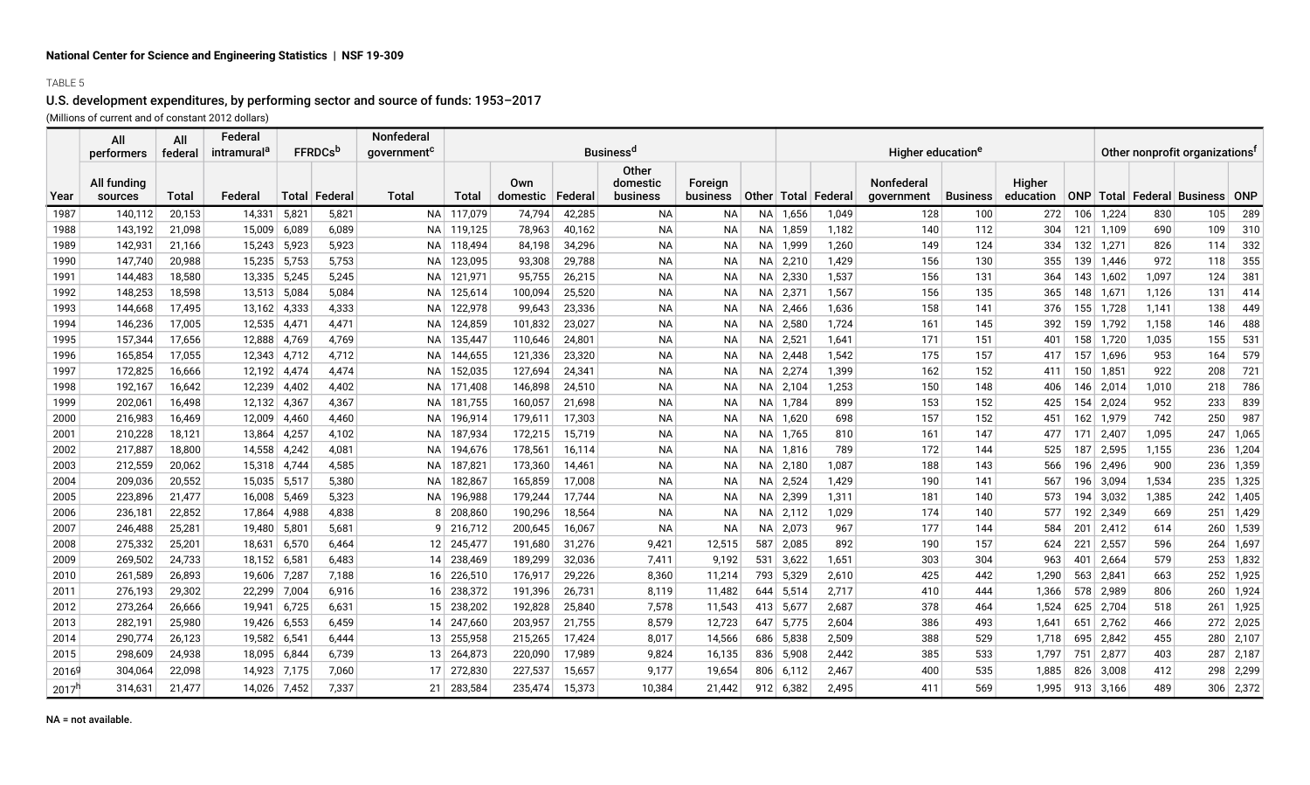#### TABLE 5

## U.S. development expenditures, by performing sector and source of funds: 1953–2017

(Millions of current and of constant 2012 dollars)

|                   | All<br>performers      | All<br>federal   | Federal<br>intramural <sup>a</sup> |                | <b>FFRDCs</b> <sup>b</sup> | Nonfederal<br>government <sup>c</sup> |                    |                    |                  | <b>Business<sup>d</sup></b>          |                     |              |                |                         | Higher education <sup>e</sup> | Other nonprofit organizations <sup>f</sup> |                     |            |                |              |                                        |             |
|-------------------|------------------------|------------------|------------------------------------|----------------|----------------------------|---------------------------------------|--------------------|--------------------|------------------|--------------------------------------|---------------------|--------------|----------------|-------------------------|-------------------------------|--------------------------------------------|---------------------|------------|----------------|--------------|----------------------------------------|-------------|
| Year              | All funding<br>sources | <b>Total</b>     | Federal                            | <b>Total</b>   | Federal                    | <b>Total</b>                          | Total              | Own<br>domestic    | Federal          | <b>Other</b><br>domestic<br>business | Foreign<br>business |              |                | Other   Total   Federal | Nonfederal<br>government      | <b>Business</b>                            | Higher<br>education |            |                |              | ONP   Total   Federal   Business   ONP |             |
| 1987              | 140.112                | 20,153           | 14,331                             | 5,821          | 5,821                      |                                       | NA 117,079         | 74,794             | 42,285           | <b>NA</b>                            | <b>NA</b>           |              | NA 1,656       | 1,049                   | 128                           | 100                                        | 272                 |            | $106$ 1,224    | 830          | 105                                    | 289         |
| 1988              | 143,192                | 21,098           | 15,009                             | 6,089          | 6,089                      | NA                                    | 119,125            | 78,963             | 40,162           | <b>NA</b>                            | NА                  |              | NA 1,859       | 1,182                   | 140                           | 112                                        | 304                 | 121        | 1,109          | 690          | 109                                    | 310         |
| 1989              | 142,931                | 21,166           | 15,243                             | 5,923          | 5,923                      | ΝA                                    | 118,494            | 84,198             | 34,296           | <b>NA</b>                            | <b>NA</b>           |              | NA 1,999       | 1,260                   | 149                           | 124                                        | 334                 | 132        | 1,271          | 826          | 114                                    | 332         |
| 1990              | 147,740                | 20,988           | 15,235                             | 5,753          | 5,753                      | NА                                    | 123,095            | 93,308             | 29,788           | <b>NA</b>                            | NА                  | NA           | 2,210          | 1,429                   | 156                           | 130                                        | 355                 | 139        | 1,446          | 972          | 118                                    | 355         |
| 1991              | 144,483                | 18,580           | 13,335                             | 5,245          | 5,245                      | NA I                                  | 121,971            | 95,755             | 26,215           | <b>NA</b>                            | <b>NA</b>           | NA           | 2,330          | 1,537                   | 156                           | 131                                        | 364                 | 143        | 1,602          | 1,097        | 124                                    | 381         |
| 1992              | 148,253                | 18,598           | 13,513                             | 5,084          | 5,084                      | NA I                                  | 125,614            | 100,094            | 25,520           | <b>NA</b>                            | <b>NA</b>           |              | NA 2,371       | 1,567                   | 156                           | 135                                        | 365                 | 148        | 1,671          | 1,126        | 131                                    | 414         |
| 1993              | 144,668                | 17,495           | 13,162                             | 4,333          | 4,333                      | NA.                                   | 122,978            | 99,643             | 23,336           | <b>NA</b>                            | <b>NA</b>           |              | $NA$ 2,466     | 1,636                   | 158                           | 141                                        | 376                 | 155        | 1,728          | 1,141        | 138                                    | 449         |
| 1994              | 146,236                | 17,005           | 12,535                             | 4,47'          | 4,471                      | NA I                                  | 124,859            | 101,832            | 23,027           | <b>NA</b>                            | <b>NA</b>           |              | NA 2,580       | 1,724                   | 161                           | 145                                        | 392                 | 159        | 1,792          | 1,158        | 146                                    | 488         |
| 1995              | 157,344                | 17,656           | 12,888                             | 4,769          | 4,769                      | NA.                                   | 135,447            | 110,646            | 24,801           | ΝA                                   | NA                  |              | NA 2,521       | 1,641                   | 171                           | 151                                        | 401                 | 158        | 1,720          | 1,035        | 155                                    | 531         |
| 1996              | 165,854                | 17,055           | 12,343                             | 4,712          | 4,712                      | ΝA                                    | 144,655            | 121,336            | 23,320           | <b>NA</b>                            | <b>NA</b>           |              | NA 2,448       | 1,542                   | 175                           | 157                                        | 417                 | 157        | 1,696          | 953          | 164                                    | 579         |
| 1997              | 172,825                | 16,666           | 12.192                             | 4,474          | 4,474<br>4,402             | NA.                                   | 152,035            | 127,694            | 24,341           | <b>NA</b>                            | <b>NA</b>           | NA I         | 2,274          | 1.399<br>1,253          | 162<br>150                    | 152<br>148                                 | 411                 | 150        | 1,851          | 922          | 208<br>218                             | 721<br>786  |
| 1998<br>1999      | 192,167<br>202,061     | 16,642<br>16,498 | 12,239<br>12,132                   | 4,402<br>4,367 | 4,367                      | NA<br>NA I                            | 171,408<br>181,755 | 146,898<br>160,057 | 24,510<br>21,698 | <b>NA</b><br><b>NA</b>               | NА<br><b>NA</b>     | NA  <br>NA I | 2,104<br>1.784 | 899                     | 153                           | 152                                        | 406                 | 146<br>154 | 2,014<br>2,024 | 1,010<br>952 | 233                                    | 839         |
| 2000              | 216,983                | 16,469           | 12,009                             | 4,460          | 4,460                      | <b>NA</b>                             | 196,914            | 179,611            | 17,303           | ΝA                                   | <b>NA</b>           | NA           | 1,620          | 698                     | 157                           | 152                                        | 425<br>451          | 162        | 1,979          | 742          | 250                                    | 987         |
| 2001              | 210,228                | 18,121           | 13,864                             | 4,257          | 4,102                      | NA.                                   | 187,934            | 172,215            | 15,719           | <b>NA</b>                            | <b>NA</b>           | NA I         | 1,765          | 810                     | 161                           | 147                                        | 477                 | 171        | 2,407          | 1,095        | 247                                    | 1,065       |
| 2002              | 217,887                | 18,800           | 14,558                             | 4,242          | 4,081                      | NА                                    | 194,676            | 178,56             | 16,114           | ΝA                                   | NA                  | NA           | 1,816          | 789                     | 172                           | 144                                        | 525                 | 187        | 2,595          | 1,155        | 236                                    | 1,204       |
| 2003              | 212,559                | 20,062           | 15,318                             | 4,744          | 4,585                      | <b>NA</b>                             | 187,821            | 173,360            | 14,461           | <b>NA</b>                            | <b>NA</b>           | NA           | 2,180          | 1,087                   | 188                           | 143                                        | 566                 | 196        | 2,496          | 900          | 236                                    | 1,359       |
| 2004              | 209,036                | 20,552           | 15,035                             | 5,517          | 5,380                      | NA I                                  | 182,867            | 165,859            | 17,008           | <b>NA</b>                            | <b>NA</b>           | NA I         | 2,524          | 1.429                   | 190                           | 141                                        | 567                 | 196        | 3,094          | 1,534        | 235                                    | 1,325       |
| 2005              | 223,896                | 21,477           | 16,008                             | 5,469          | 5,323                      | NA.                                   | 196,988            | 179,244            | 17,744           | <b>NA</b>                            | <b>NA</b>           | NA           | 2,399          | 1,311                   | 181                           | 140                                        | 573                 | 194        | 3,032          | 1,385        | 242                                    | 1,405       |
| 2006              | 236,181                | 22,852           | 17,864                             | 4,988          | 4,838                      | 8                                     | 208,860            | 190,296            | 18,564           | <b>NA</b>                            | <b>NA</b>           |              | NA 2,112       | 1,029                   | 174                           | 140                                        | 577                 | 192        | 2,349          | 669          | 251                                    | 1,429       |
| 2007              | 246,488                | 25,281           | 19,480                             | $5,80^{\circ}$ | 5,681                      | 9                                     | 216,712            | 200,645            | 16,067           | ΝA                                   | <b>NA</b>           |              | $NA$ 2,073     | 967                     | 177                           | 144                                        | 584                 | 201        | 2,412          | 614          | 260                                    | 1,539       |
| 2008              | 275,332                | 25,201           | 18,631                             | 6,570          | 6,464                      | 12                                    | 245,477            | 191,680            | 31,276           | 9,421                                | 12,515              | 587          | 2,085          | 892                     | 190                           | 157                                        | 624                 | 221        | 2,557          | 596          | 264                                    | 1,697       |
| 2009              | 269,502                | 24,733           | 18,152                             | 6,58           | 6,483                      | 14 <sup>1</sup>                       | 238,469            | 189,299            | 32,036           | 7,411                                | 9.192               | 531          | 3,622          | 1,651                   | 303                           | 304                                        | 963                 | 401        | 2,664          | 579          | 253                                    | 1,832       |
| 2010              | 261,589                | 26,893           | 19,606                             | 7,28           | 7,188                      | 16                                    | 226,510            | 176,917            | 29,226           | 8,360                                | 11,214              | 793          | 5,329          | 2,610                   | 425                           | 442                                        | 1,290               | 563        | 2,841          | 663          | 252                                    | 1,925       |
| 2011              | 276,193                | 29,302           | 22,299                             | 7,004          | 6,916                      | 16 <sup>1</sup>                       | 238,372            | 191,396            | 26,731           | 8,119                                | 11,482              | 644          | 5,514          | 2,717                   | 410                           | 444                                        | 1,366               | 578        | 2,989          | 806          | 260                                    | 1,924       |
| 2012              | 273,264                | 26,666           | 19,941                             | 6,725          | 6,631                      | 15 <sup>1</sup>                       | 238,202            | 192,828            | 25,840           | 7,578                                | 11,543              | 413          | 5,677          | 2,687                   | 378                           | 464                                        | 1,524               | 625        | 2,704          | 518          | 261                                    | 1,925       |
| 2013              | 282,191                | 25,980           | 19,426                             | 6,553          | 6,459                      | 14                                    | 247,660            | 203,957            | 21,755           | 8,579                                | 12,723              | 647          | 5,775          | 2,604                   | 386                           | 493                                        | 1,641               | 651        | 2,762          | 466          | 272                                    | 2,025       |
| 2014              | 290,774                | 26,123           | 19,582                             | 6,541          | 6,444                      | 13                                    | 255,958            | 215,265            | 17,424           | 8,017                                | 14,566              |              | 686 5,838      | 2,509                   | 388                           | 529                                        | 1,718               | 695        | 2,842          | 455          | 280                                    | 2,107       |
| 2015              | 298,609                | 24,938           | 18,095                             | 6,844          | 6,739                      | 13 <sup>1</sup>                       | 264,873            | 220,090            | 17,989           | 9,824                                | 16,135              |              | 836 5,908      | 2,442                   | 385                           | 533                                        | 1,797               | 751        | 2,877          | 403          | 287                                    | 2,187       |
| 2016 <sup>g</sup> | 304.064                | 22,098           | 14.923                             | 7,175          | 7,060                      | 17 <sup>1</sup>                       | 272,830            | 227,537            | 15,657           | 9.177                                | 19,654              |              | 806 6.112      | 2.467                   | 400                           | 535                                        | 1.885               | 826        | 3.008          | 412          | 298                                    | 2,299       |
| 2017 <sup>5</sup> | 314,631                | 21,477           | 14,026                             | 7,452          | 7,337                      | 21                                    | 283,584            | 235,474            | 15,373           | 10,384                               | 21,442              | 912          | 6,382          | 2.495                   | 411                           | 569                                        | 1,995               | 913        | 3,166          | 489          |                                        | $306$ 2,372 |